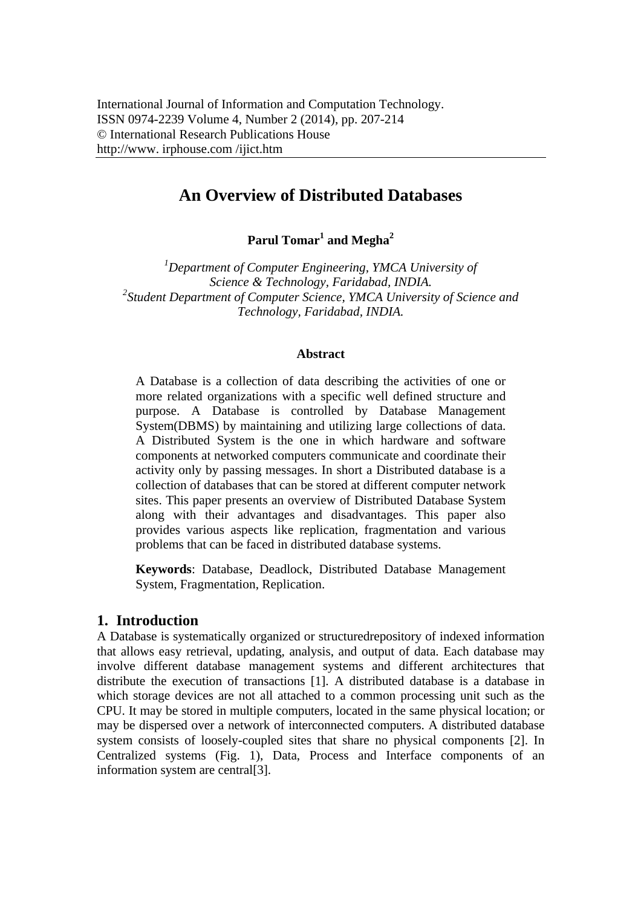# **An Overview of Distributed Databases**

 $\mathrm{Parul}\ \mathrm{Tomar}^1$  and  $\mathrm{Megha}^2$ 

*1 Department of Computer Engineering, YMCA University of Science & Technology, Faridabad, INDIA. 2 Student Department of Computer Science, YMCA University of Science and Technology, Faridabad, INDIA.* 

#### **Abstract**

A Database is a collection of data describing the activities of one or more related organizations with a specific well defined structure and purpose. A Database is controlled by Database Management System(DBMS) by maintaining and utilizing large collections of data. A Distributed System is the one in which hardware and software components at networked computers communicate and coordinate their activity only by passing messages. In short a Distributed database is a collection of databases that can be stored at different computer network sites. This paper presents an overview of Distributed Database System along with their advantages and disadvantages. This paper also provides various aspects like replication, fragmentation and various problems that can be faced in distributed database systems.

**Keywords**: Database, Deadlock, Distributed Database Management System, Fragmentation, Replication.

### **1. Introduction**

A Database is systematically organized or structuredrepository of indexed information that allows easy retrieval, updating, analysis, and output of data. Each database may involve different database management systems and different architectures that distribute the execution of transactions [1]. A distributed database is a database in which storage devices are not all attached to a common processing unit such as the CPU. It may be stored in multiple computers, located in the same physical location; or may be dispersed over a network of interconnected computers. A distributed database system consists of loosely-coupled sites that share no physical components [2]. In Centralized systems (Fig. 1), Data, Process and Interface components of an information system are central[3].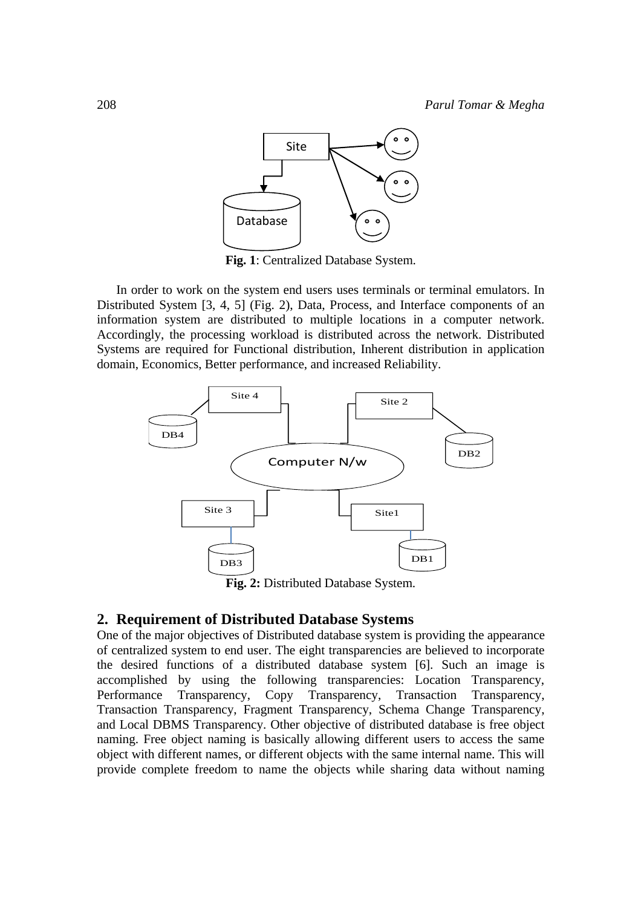

**Fig. 1**: Centralized Database System.

In order to work on the system end users uses terminals or terminal emulators. In Distributed System [3, 4, 5] (Fig. 2), Data, Process, and Interface components of an information system are distributed to multiple locations in a computer network. Accordingly, the processing workload is distributed across the network. Distributed Systems are required for Functional distribution, Inherent distribution in application domain, Economics, Better performance, and increased Reliability.



**Fig. 2:** Distributed Database System.

### **2. Requirement of Distributed Database Systems**

One of the major objectives of Distributed database system is providing the appearance of centralized system to end user. The eight transparencies are believed to incorporate the desired functions of a distributed database system [6]. Such an image is accomplished by using the following transparencies: Location Transparency, Performance Transparency, Copy Transparency, Transaction Transparency, Transaction Transparency, Fragment Transparency, Schema Change Transparency, and Local DBMS Transparency. Other objective of distributed database is free object naming. Free object naming is basically allowing different users to access the same object with different names, or different objects with the same internal name. This will provide complete freedom to name the objects while sharing data without naming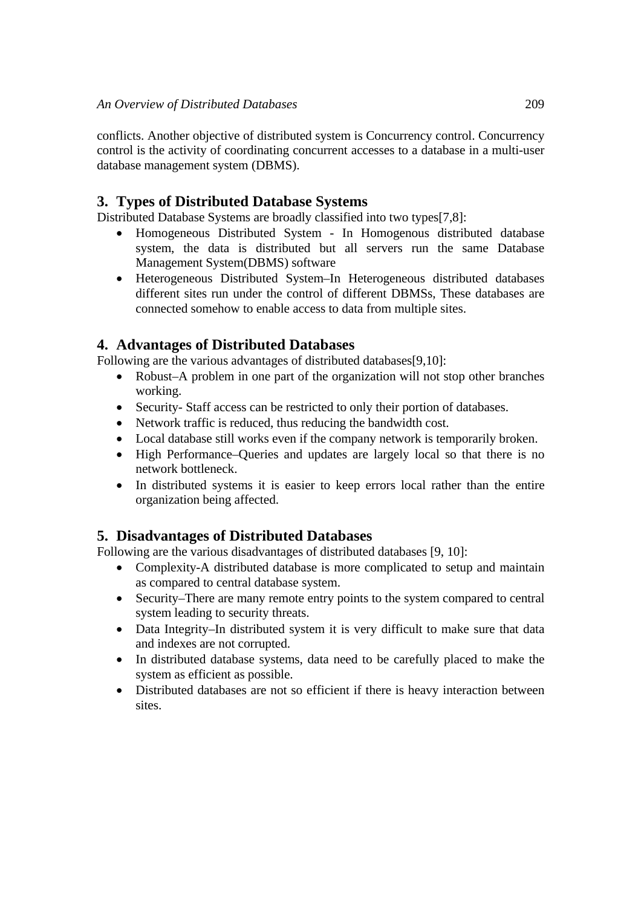conflicts. Another objective of distributed system is Concurrency control. Concurrency control is the activity of coordinating concurrent accesses to a database in a multi-user database management system (DBMS).

# **3. Types of Distributed Database Systems**

Distributed Database Systems are broadly classified into two types[7,8]:

- Homogeneous Distributed System In Homogenous distributed database system, the data is distributed but all servers run the same Database Management System(DBMS) software
- Heterogeneous Distributed System–In Heterogeneous distributed databases different sites run under the control of different DBMSs, These databases are connected somehow to enable access to data from multiple sites.

# **4. Advantages of Distributed Databases**

Following are the various advantages of distributed databases[9,10]:

- Robust–A problem in one part of the organization will not stop other branches working.
- Security- Staff access can be restricted to only their portion of databases.
- Network traffic is reduced, thus reducing the bandwidth cost.
- Local database still works even if the company network is temporarily broken.
- High Performance–Oueries and updates are largely local so that there is no network bottleneck.
- In distributed systems it is easier to keep errors local rather than the entire organization being affected.

# **5. Disadvantages of Distributed Databases**

Following are the various disadvantages of distributed databases [9, 10]:

- Complexity-A distributed database is more complicated to setup and maintain as compared to central database system.
- Security–There are many remote entry points to the system compared to central system leading to security threats.
- Data Integrity–In distributed system it is very difficult to make sure that data and indexes are not corrupted.
- In distributed database systems, data need to be carefully placed to make the system as efficient as possible.
- Distributed databases are not so efficient if there is heavy interaction between sites.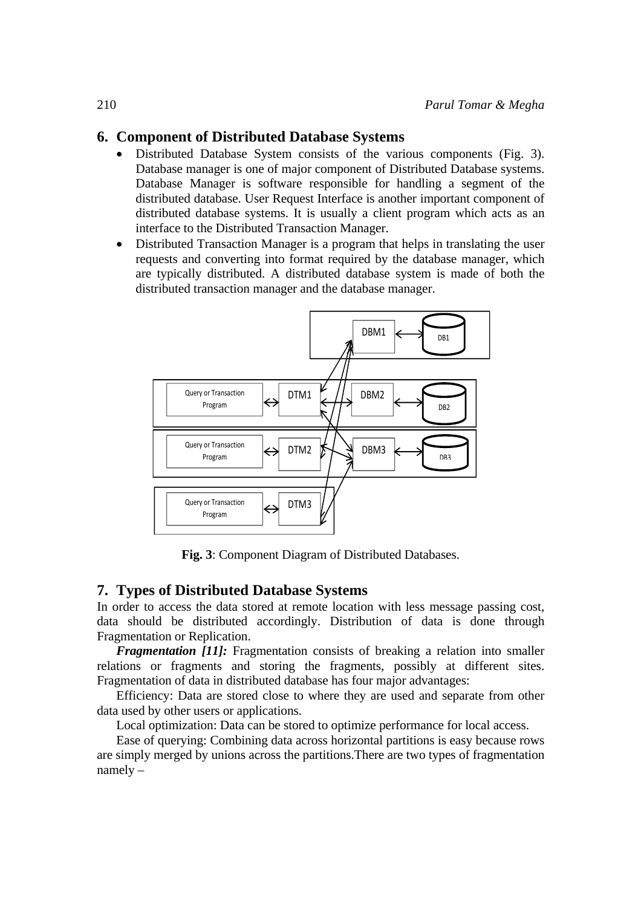## **6. Component of Distributed Database Systems**

- Distributed Database System consists of the various components (Fig. 3). Database manager is one of major component of Distributed Database systems. Database Manager is software responsible for handling a segment of the distributed database. User Request Interface is another important component of distributed database systems. It is usually a client program which acts as an interface to the Distributed Transaction Manager.
- Distributed Transaction Manager is a program that helps in translating the user requests and converting into format required by the database manager, which are typically distributed. A distributed database system is made of both the distributed transaction manager and the database manager.



**Fig. 3**: Component Diagram of Distributed Databases.

## **7. Types of Distributed Database Systems**

In order to access the data stored at remote location with less message passing cost, data should be distributed accordingly. Distribution of data is done through Fragmentation or Replication.

*Fragmentation [11]:* Fragmentation consists of breaking a relation into smaller relations or fragments and storing the fragments, possibly at different sites. Fragmentation of data in distributed database has four major advantages:

Efficiency: Data are stored close to where they are used and separate from other data used by other users or applications.

Local optimization: Data can be stored to optimize performance for local access.

Ease of querying: Combining data across horizontal partitions is easy because rows are simply merged by unions across the partitions.There are two types of fragmentation namely –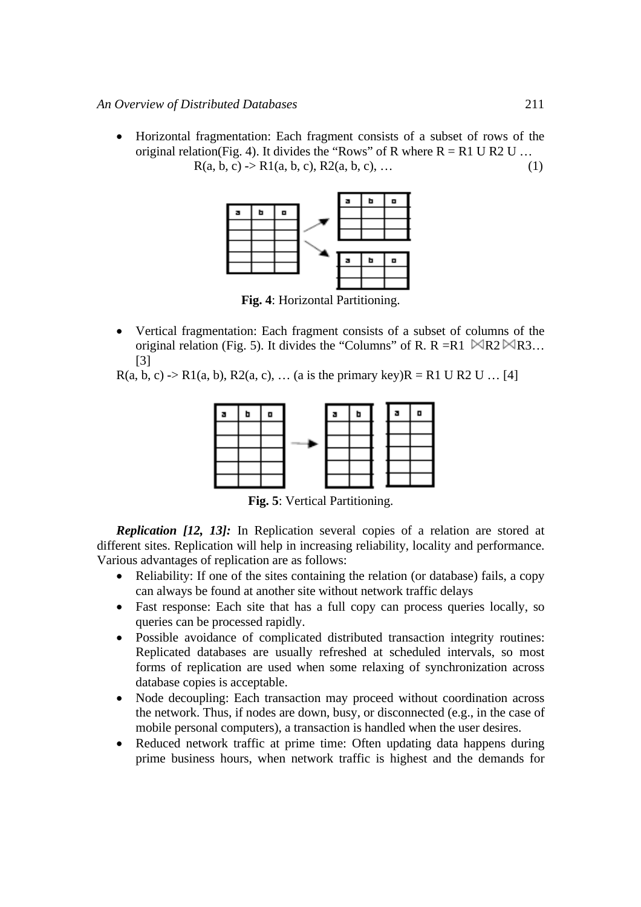• Horizontal fragmentation: Each fragment consists of a subset of rows of the original relation(Fig. 4). It divides the "Rows" of R where  $R = R1 U R2 U ...$  $R(a, b, c) \rightarrow R1(a, b, c), R2(a, b, c), ...$  (1)



**Fig. 4**: Horizontal Partitioning.

• Vertical fragmentation: Each fragment consists of a subset of columns of the original relation (Fig. 5). It divides the "Columns" of R. R = R1  $\mathbb{R}$ R2  $\mathbb{R}$ R3... [3]

 $R(a, b, c)$  ->  $R1(a, b)$ ,  $R2(a, c)$ , ... (a is the primary key) $R = R1 U R2 U ... [4]$ 



**Fig. 5**: Vertical Partitioning.

*Replication [12, 13]:* In Replication several copies of a relation are stored at different sites. Replication will help in increasing reliability, locality and performance. Various advantages of replication are as follows:

- Reliability: If one of the sites containing the relation (or database) fails, a copy can always be found at another site without network traffic delays
- Fast response: Each site that has a full copy can process queries locally, so queries can be processed rapidly.
- Possible avoidance of complicated distributed transaction integrity routines: Replicated databases are usually refreshed at scheduled intervals, so most forms of replication are used when some relaxing of synchronization across database copies is acceptable.
- Node decoupling: Each transaction may proceed without coordination across the network. Thus, if nodes are down, busy, or disconnected (e.g., in the case of mobile personal computers), a transaction is handled when the user desires.
- Reduced network traffic at prime time: Often updating data happens during prime business hours, when network traffic is highest and the demands for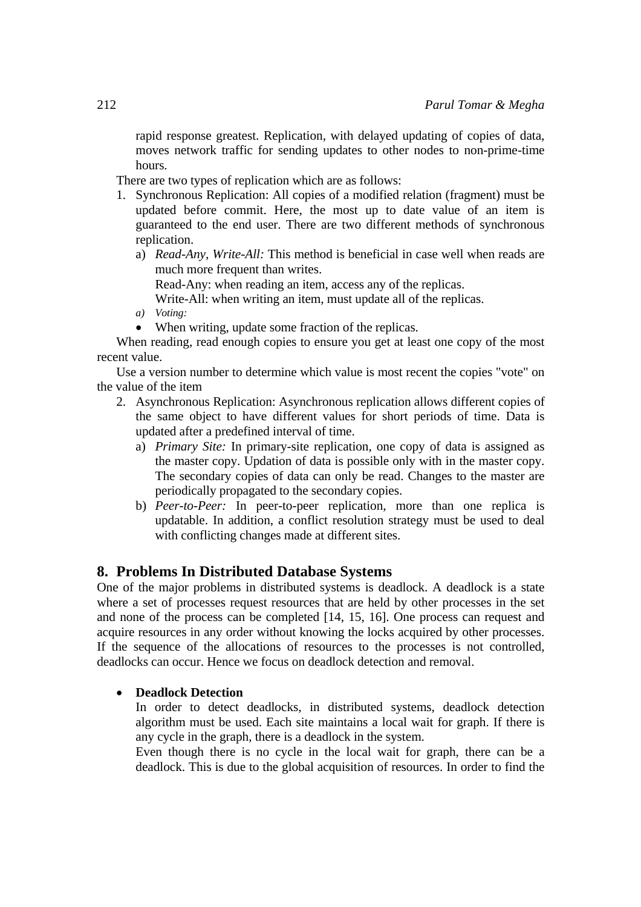rapid response greatest. Replication, with delayed updating of copies of data, moves network traffic for sending updates to other nodes to non-prime-time hours.

There are two types of replication which are as follows:

- 1. Synchronous Replication: All copies of a modified relation (fragment) must be updated before commit. Here, the most up to date value of an item is guaranteed to the end user. There are two different methods of synchronous replication.
	- a) *Read-Any, Write-All:* This method is beneficial in case well when reads are much more frequent than writes.

Read-Any: when reading an item, access any of the replicas.

Write-All: when writing an item, must update all of the replicas.

- *a) Voting:*
- When writing, update some fraction of the replicas.

When reading, read enough copies to ensure you get at least one copy of the most recent value.

Use a version number to determine which value is most recent the copies "vote" on the value of the item

- 2. Asynchronous Replication: Asynchronous replication allows different copies of the same object to have different values for short periods of time. Data is updated after a predefined interval of time.
	- a) *Primary Site:* In primary-site replication, one copy of data is assigned as the master copy. Updation of data is possible only with in the master copy. The secondary copies of data can only be read. Changes to the master are periodically propagated to the secondary copies.
	- b) *Peer-to-Peer:* In peer-to-peer replication, more than one replica is updatable. In addition, a conflict resolution strategy must be used to deal with conflicting changes made at different sites.

# **8. Problems In Distributed Database Systems**

One of the major problems in distributed systems is deadlock. A deadlock is a state where a set of processes request resources that are held by other processes in the set and none of the process can be completed [14, 15, 16]. One process can request and acquire resources in any order without knowing the locks acquired by other processes. If the sequence of the allocations of resources to the processes is not controlled, deadlocks can occur. Hence we focus on deadlock detection and removal.

## • **Deadlock Detection**

In order to detect deadlocks, in distributed systems, deadlock detection algorithm must be used. Each site maintains a local wait for graph. If there is any cycle in the graph, there is a deadlock in the system.

Even though there is no cycle in the local wait for graph, there can be a deadlock. This is due to the global acquisition of resources. In order to find the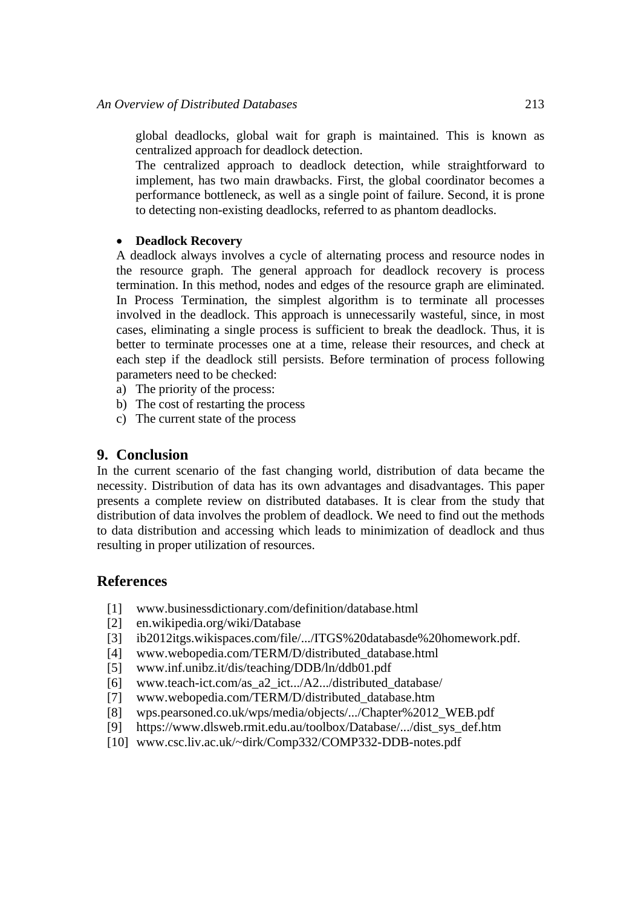global deadlocks, global wait for graph is maintained. This is known as centralized approach for deadlock detection.

The centralized approach to deadlock detection, while straightforward to implement, has two main drawbacks. First, the global coordinator becomes a performance bottleneck, as well as a single point of failure. Second, it is prone to detecting non-existing deadlocks, referred to as phantom deadlocks.

### • **Deadlock Recovery**

A deadlock always involves a cycle of alternating process and resource nodes in the resource graph. The general approach for deadlock recovery is process termination. In this method, nodes and edges of the resource graph are eliminated. In Process Termination, the simplest algorithm is to terminate all processes involved in the deadlock. This approach is unnecessarily wasteful, since, in most cases, eliminating a single process is sufficient to break the deadlock. Thus, it is better to terminate processes one at a time, release their resources, and check at each step if the deadlock still persists. Before termination of process following parameters need to be checked:

- a) The priority of the process:
- b) The cost of restarting the process
- c) The current state of the process

## **9. Conclusion**

In the current scenario of the fast changing world, distribution of data became the necessity. Distribution of data has its own advantages and disadvantages. This paper presents a complete review on distributed databases. It is clear from the study that distribution of data involves the problem of deadlock. We need to find out the methods to data distribution and accessing which leads to minimization of deadlock and thus resulting in proper utilization of resources.

## **References**

- [1] www.businessdictionary.com/definition/database.html
- [2] en.wikipedia.org/wiki/Database
- [3] ib2012itgs.wikispaces.com/file/.../ITGS%20databasde%20homework.pdf.
- [4] www.webopedia.com/TERM/D/distributed\_database.html
- [5] www.inf.unibz.it/dis/teaching/DDB/ln/ddb01.pdf
- [6] www.teach-ict.com/as\_a2\_ict.../A2.../distributed\_database/
- [7] www.webopedia.com/TERM/D/distributed\_database.htm
- [8] wps.pearsoned.co.uk/wps/media/objects/.../Chapter%2012\_WEB.pdf
- [9] https://www.dlsweb.rmit.edu.au/toolbox/Database/.../dist\_sys\_def.htm
- [10] www.csc.liv.ac.uk/~dirk/Comp332/COMP332-DDB-notes.pdf